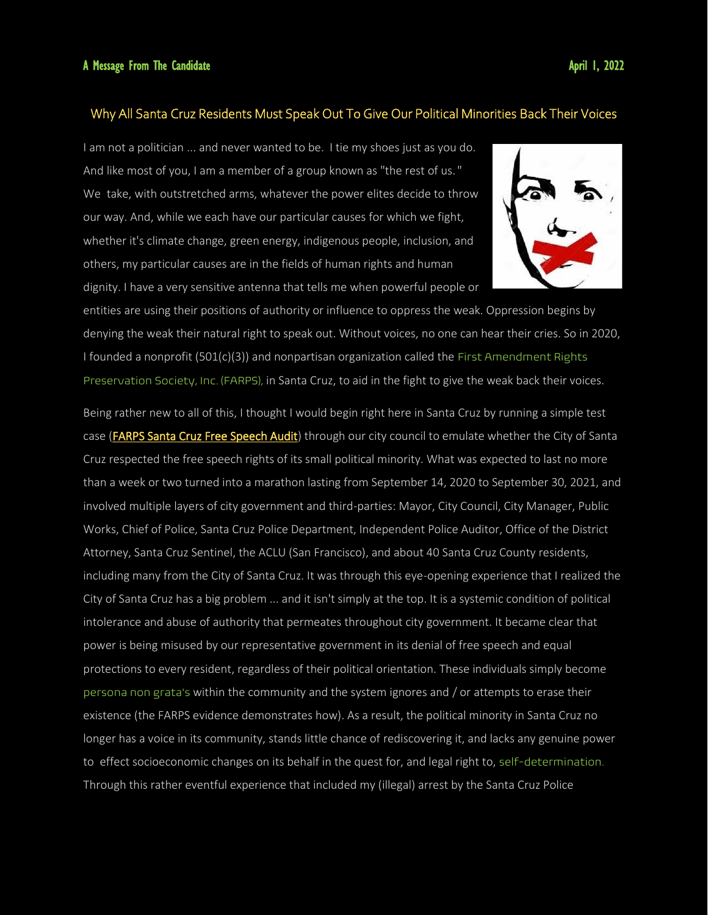## Why All Santa Cruz Residents Must Speak Out To Give Our Political Minorities Back Their Voices

I am not a politician ... and never wanted to be. I tie my shoes just as you do. And like most of you, I am a member of a group known as "the rest of us." We take, with outstretched arms, whatever the power elites decide to throw our way. And, while we each have our particular causes for which we fight, whether it's climate change, green energy, indigenous people, inclusion, and others, my particular causes are in the fields of human rights and human dignity. I have a very sensitive antenna that tells me when powerful people or



entities are using their positions of authority or influence to oppress the weak. Oppression begins by denying the weak their natural right to speak out. Without voices, no one can hear their cries. So in 2020, I founded a nonprofit (501(c)(3)) and nonpartisan organization called the First Amendment Rights Preservation Society, Inc. (FARPS), in Santa Cruz, to aid in the fight to give the weak back their voices.

Being rather new to all of this, I thought I would begin right here in Santa Cruz by running a simple test case (**FARPS Santa Cruz Free Speech Audit**) through our city council to emulate whether the City of Santa Cruz respected the free speech rights of its small political minority. What was expected to last no more than a week or two turned into a marathon lasting from September 14, 2020 to September 30, 2021, and involved multiple layers of city government and third-parties: Mayor, City Council, City Manager, Public Works, Chief of Police, Santa Cruz Police Department, Independent Police Auditor, Office of the District Attorney, Santa Cruz Sentinel, the ACLU (San Francisco), and about 40 Santa Cruz County residents, including many from the City of Santa Cruz. It was through this eye-opening experience that I realized the City of Santa Cruz has a big problem ... and it isn't simply at the top. It is a systemic condition of political intolerance and abuse of authority that permeates throughout city government. It became clear that power is being misused by our representative government in its denial of free speech and equal protections to every resident, regardless of their political orientation. These individuals simply become persona non grata's within the community and the system ignores and / or attempts to erase their existence (the FARPS evidence demonstrates how). As a result, the political minority in Santa Cruz no longer has a voice in its community, stands little chance of rediscovering it, and lacks any genuine power to effect socioeconomic changes on its behalf in the quest for, and legal right to, self-determination. Through this rather eventful experience that included my (illegal) arrest by the Santa Cruz Police